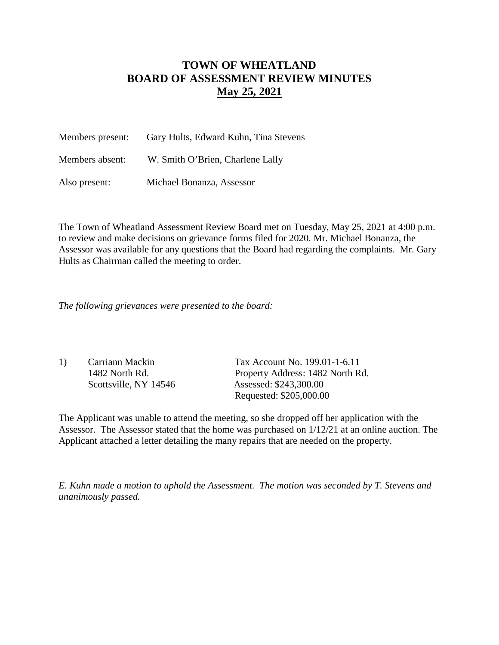## **TOWN OF WHEATLAND BOARD OF ASSESSMENT REVIEW MINUTES May 25, 2021**

| Members present: | Gary Hults, Edward Kuhn, Tina Stevens |  |
|------------------|---------------------------------------|--|
| Members absent:  | W. Smith O'Brien, Charlene Lally      |  |
| Also present:    | Michael Bonanza, Assessor             |  |

The Town of Wheatland Assessment Review Board met on Tuesday, May 25, 2021 at 4:00 p.m. to review and make decisions on grievance forms filed for 2020. Mr. Michael Bonanza, the Assessor was available for any questions that the Board had regarding the complaints. Mr. Gary Hults as Chairman called the meeting to order.

*The following grievances were presented to the board:*

| 1) | Carriann Mackin       | Tax Account No. 199.01-1-6.11    |
|----|-----------------------|----------------------------------|
|    | 1482 North Rd.        | Property Address: 1482 North Rd. |
|    | Scottsville, NY 14546 | Assessed: \$243,300.00           |
|    |                       | Requested: \$205,000.00          |

The Applicant was unable to attend the meeting, so she dropped off her application with the Assessor. The Assessor stated that the home was purchased on 1/12/21 at an online auction. The Applicant attached a letter detailing the many repairs that are needed on the property.

*E. Kuhn made a motion to uphold the Assessment. The motion was seconded by T. Stevens and unanimously passed.*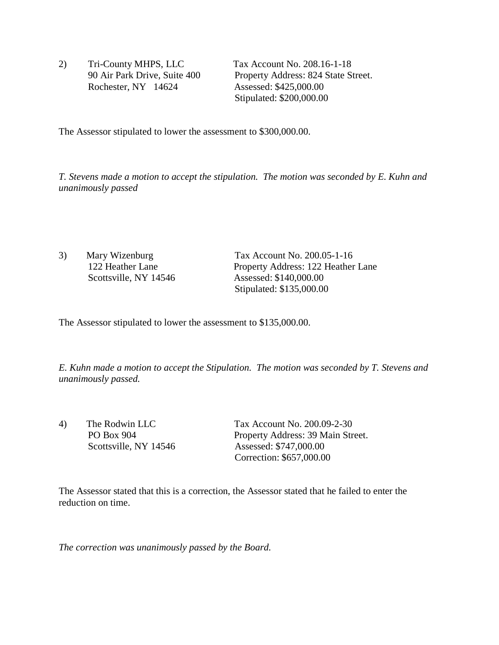2) Tri-County MHPS, LLC Tax Account No. 208.16-1-18 Rochester, NY 14624 Assessed: \$425,000.00

 90 Air Park Drive, Suite 400 Property Address: 824 State Street. Stipulated: \$200,000.00

The Assessor stipulated to lower the assessment to \$300,000.00.

*T. Stevens made a motion to accept the stipulation. The motion was seconded by E. Kuhn and unanimously passed* 

3) Mary Wizenburg Tax Account No. 200.05-1-16 122 Heather Lane Property Address: 122 Heather Lane<br>Scottsville, NY 14546 Assessed: \$140,000.00 Assessed: \$140,000.00 Stipulated: \$135,000.00

The Assessor stipulated to lower the assessment to \$135,000.00.

*E. Kuhn made a motion to accept the Stipulation. The motion was seconded by T. Stevens and unanimously passed.*

4) The Rodwin LLC Tax Account No. 200.09-2-30 PO Box 904 Property Address: 39 Main Street. Scottsville, NY 14546 Assessed: \$747,000.00 Correction: \$657,000.00

The Assessor stated that this is a correction, the Assessor stated that he failed to enter the reduction on time.

*The correction was unanimously passed by the Board.*